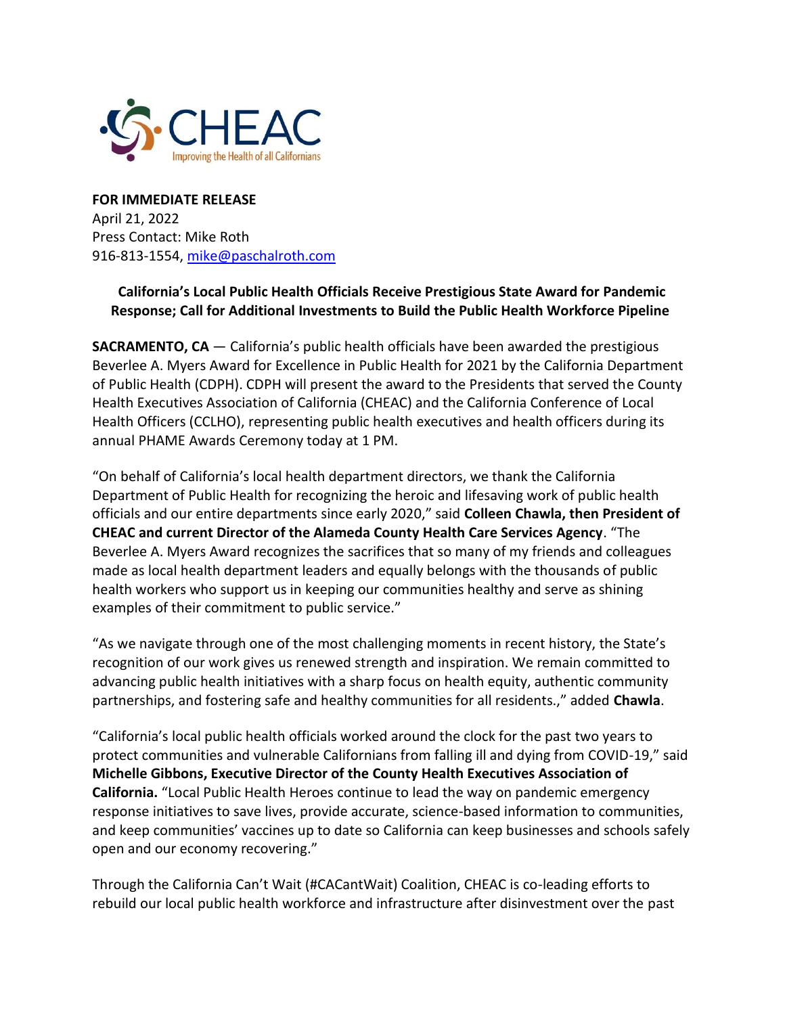

**FOR IMMEDIATE RELEASE** April 21, 2022 Press Contact: Mike Roth 916-813-1554, [mike@paschalroth.com](mailto:mike@paschalroth.com)

## **California's Local Public Health Officials Receive Prestigious State Award for Pandemic Response; Call for Additional Investments to Build the Public Health Workforce Pipeline**

**SACRAMENTO, CA** — California's public health officials have been awarded the prestigious Beverlee A. Myers Award for Excellence in Public Health for 2021 by the California Department of Public Health (CDPH). CDPH will present the award to the Presidents that served the County Health Executives Association of California (CHEAC) and the California Conference of Local Health Officers (CCLHO), representing public health executives and health officers during its annual PHAME Awards Ceremony today at 1 PM.

"On behalf of California's local health department directors, we thank the California Department of Public Health for recognizing the heroic and lifesaving work of public health officials and our entire departments since early 2020," said **Colleen Chawla, then President of CHEAC and current Director of the Alameda County Health Care Services Agency**. "The Beverlee A. Myers Award recognizes the sacrifices that so many of my friends and colleagues made as local health department leaders and equally belongs with the thousands of public health workers who support us in keeping our communities healthy and serve as shining examples of their commitment to public service."

"As we navigate through one of the most challenging moments in recent history, the State's recognition of our work gives us renewed strength and inspiration. We remain committed to advancing public health initiatives with a sharp focus on health equity, authentic community partnerships, and fostering safe and healthy communities for all residents.," added **Chawla**.

"California's local public health officials worked around the clock for the past two years to protect communities and vulnerable Californians from falling ill and dying from COVID-19," said **Michelle Gibbons, Executive Director of the County Health Executives Association of California.** "Local Public Health Heroes continue to lead the way on pandemic emergency response initiatives to save lives, provide accurate, science-based information to communities, and keep communities' vaccines up to date so California can keep businesses and schools safely open and our economy recovering."

Through the California Can't Wait (#CACantWait) Coalition, CHEAC is co-leading efforts to rebuild our local public health workforce and infrastructure after disinvestment over the past